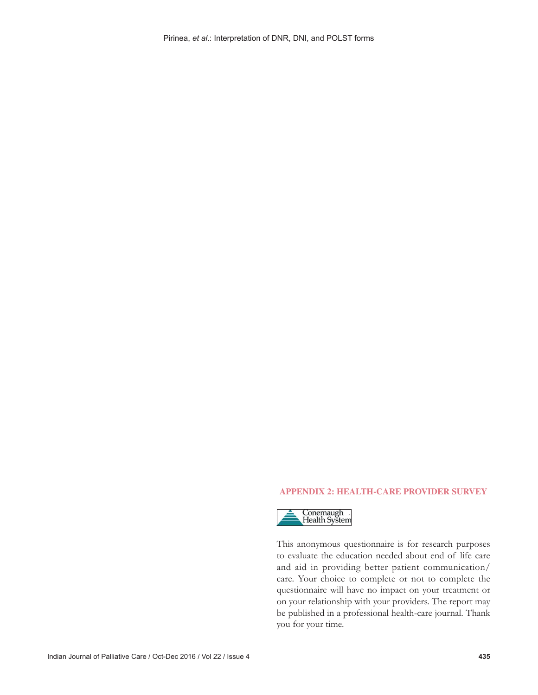## **APPENDIX 2: HEALTH‑CARE PROVIDER SURVEY**



This anonymous questionnaire is for research purposes to evaluate the education needed about end of life care and aid in providing better patient communication/ care. Your choice to complete or not to complete the questionnaire will have no impact on your treatment or on your relationship with your providers. The report may be published in a professional health-care journal. Thank you for your time.